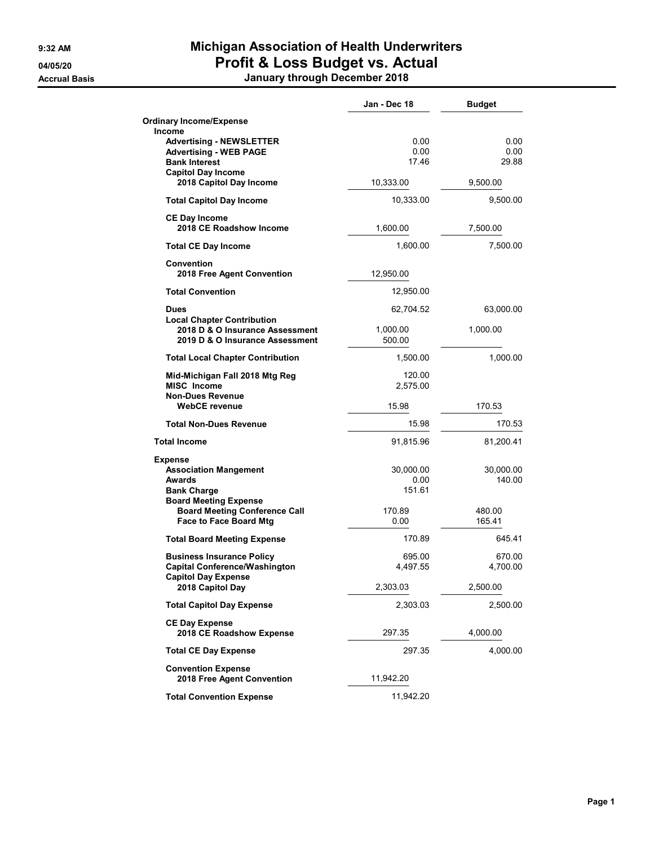## 9:32 AM Michigan Association of Health Underwriters 04/05/20 **Profit & Loss Budget vs. Actual**

Accrual Basis January through December 2018

|                                                                    | Jan - Dec 18       | <b>Budget</b> |
|--------------------------------------------------------------------|--------------------|---------------|
| <b>Ordinary Income/Expense</b><br><b>Income</b>                    |                    |               |
| <b>Advertising - NEWSLETTER</b>                                    | 0.00               | 0.00          |
| <b>Advertising - WEB PAGE</b><br><b>Bank Interest</b>              | 0.00<br>17.46      | 0.00<br>29.88 |
| <b>Capitol Day Income</b>                                          |                    |               |
| 2018 Capitol Day Income                                            | 10,333.00          | 9,500.00      |
| <b>Total Capitol Day Income</b>                                    | 10,333.00          | 9,500.00      |
| <b>CE Day Income</b><br>2018 CE Roadshow Income                    | 1,600.00           | 7,500.00      |
| <b>Total CE Day Income</b>                                         | 1,600.00           | 7,500.00      |
| <b>Convention</b><br>2018 Free Agent Convention                    | 12,950.00          |               |
| <b>Total Convention</b>                                            | 12,950.00          |               |
| Dues                                                               | 62,704.52          | 63,000.00     |
| <b>Local Chapter Contribution</b>                                  |                    |               |
| 2018 D & O Insurance Assessment<br>2019 D & O Insurance Assessment | 1,000.00<br>500.00 | 1,000.00      |
| <b>Total Local Chapter Contribution</b>                            | 1,500.00           | 1,000.00      |
| Mid-Michigan Fall 2018 Mtg Reg                                     | 120.00             |               |
| <b>MISC Income</b>                                                 | 2,575.00           |               |
| <b>Non-Dues Revenue</b><br><b>WebCE</b> revenue                    | 15.98              | 170.53        |
| <b>Total Non-Dues Revenue</b>                                      | 15.98              | 170.53        |
| <b>Total Income</b>                                                | 91,815.96          | 81,200.41     |
| <b>Expense</b>                                                     |                    |               |
| <b>Association Mangement</b>                                       | 30,000.00          | 30,000.00     |
| <b>Awards</b>                                                      | 0.00               | 140.00        |
| <b>Bank Charge</b><br><b>Board Meeting Expense</b>                 | 151.61             |               |
| <b>Board Meeting Conference Call</b>                               | 170.89             | 480.00        |
| <b>Face to Face Board Mtg</b>                                      | 0.00               | 165.41        |
| <b>Total Board Meeting Expense</b>                                 | 170.89             | 645.41        |
| <b>Business Insurance Policy</b>                                   | 695.00             | 670.00        |
| <b>Capital Conference/Washington</b>                               | 4,497.55           | 4,700.00      |
| <b>Capitol Day Expense</b><br>2018 Capitol Day                     | 2,303.03           | 2,500.00      |
| <b>Total Capitol Day Expense</b>                                   | 2,303.03           | 2,500.00      |
| <b>CE Day Expense</b>                                              |                    |               |
| 2018 CE Roadshow Expense                                           | 297.35             | 4,000.00      |
| <b>Total CE Day Expense</b>                                        | 297.35             | 4,000.00      |
| <b>Convention Expense</b>                                          |                    |               |
| 2018 Free Agent Convention                                         | 11,942.20          |               |
| <b>Total Convention Expense</b>                                    | 11,942.20          |               |